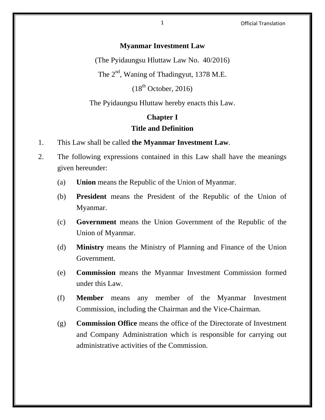#### 1 Official Translation

#### **Myanmar Investment Law**

(The Pyidaungsu Hluttaw Law No. 40/2016)

The  $2^{nd}$ , Waning of Thadingyut, 1378 M.E.

 $(18<sup>th</sup> October, 2016)$ 

The Pyidaungsu Hluttaw hereby enacts this Law.

# **Chapter I Title and Definition**

- 1. This Law shall be called **the Myanmar Investment Law**.
- 2. The following expressions contained in this Law shall have the meanings given hereunder:
	- (a) **Union** means the Republic of the Union of Myanmar.
	- (b) **President** means the President of the Republic of the Union of Myanmar.
	- (c) **Government** means the Union Government of the Republic of the Union of Myanmar.
	- (d) **Ministry** means the Ministry of Planning and Finance of the Union Government.
	- (e) **Commission** means the Myanmar Investment Commission formed under this Law.
	- (f) **Member** means any member of the Myanmar Investment Commission, including the Chairman and the Vice-Chairman.
	- (g) **Commission Office** means the office of the Directorate of Investment and Company Administration which is responsible for carrying out administrative activities of the Commission.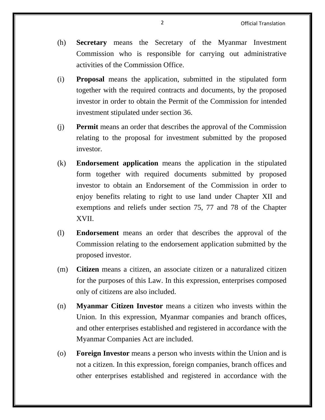- (h) **Secretary** means the Secretary of the Myanmar Investment Commission who is responsible for carrying out administrative activities of the Commission Office.
- (i) **Proposal** means the application, submitted in the stipulated form together with the required contracts and documents, by the proposed investor in order to obtain the Permit of the Commission for intended investment stipulated under section 36.
- (j) **Permit** means an order that describes the approval of the Commission relating to the proposal for investment submitted by the proposed investor.
- (k) **Endorsement application** means the application in the stipulated form together with required documents submitted by proposed investor to obtain an Endorsement of the Commission in order to enjoy benefits relating to right to use land under Chapter XII and exemptions and reliefs under section 75, 77 and 78 of the Chapter XVII.
- (l) **Endorsement** means an order that describes the approval of the Commission relating to the endorsement application submitted by the proposed investor.
- (m) **Citizen** means a citizen, an associate citizen or a naturalized citizen for the purposes of this Law. In this expression, enterprises composed only of citizens are also included.
- (n) **Myanmar Citizen Investor** means a citizen who invests within the Union. In this expression, Myanmar companies and branch offices, and other enterprises established and registered in accordance with the Myanmar Companies Act are included.
- (o) **Foreign Investor** means a person who invests within the Union and is not a citizen. In this expression, foreign companies, branch offices and other enterprises established and registered in accordance with the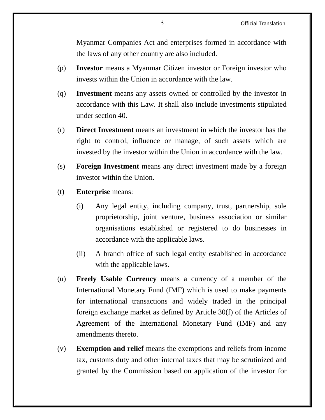Myanmar Companies Act and enterprises formed in accordance with the laws of any other country are also included.

- (p) **Investor** means a Myanmar Citizen investor or Foreign investor who invests within the Union in accordance with the law.
- (q) **Investment** means any assets owned or controlled by the investor in accordance with this Law. It shall also include investments stipulated under section 40.
- (r) **Direct Investment** means an investment in which the investor has the right to control, influence or manage, of such assets which are invested by the investor within the Union in accordance with the law.
- (s) **Foreign Investment** means any direct investment made by a foreign investor within the Union.
- (t) **Enterprise** means:
	- (i) Any legal entity, including company, trust, partnership, sole proprietorship, joint venture, business association or similar organisations established or registered to do businesses in accordance with the applicable laws.
	- (ii) A branch office of such legal entity established in accordance with the applicable laws.
- (u) **Freely Usable Currency** means a currency of a member of the International Monetary Fund (IMF) which is used to make payments for international transactions and widely traded in the principal foreign exchange market as defined by Article 30(f) of the Articles of Agreement of the International Monetary Fund (IMF) and any amendments thereto.
- (v) **Exemption and relief** means the exemptions and reliefs from income tax, customs duty and other internal taxes that may be scrutinized and granted by the Commission based on application of the investor for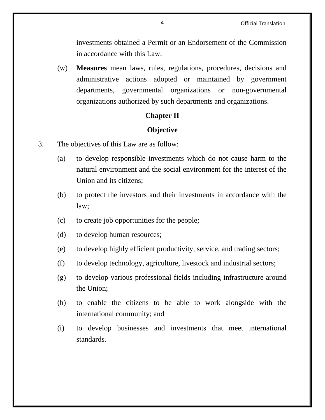investments obtained a Permit or an Endorsement of the Commission in accordance with this Law.

(w) **Measures** mean laws, rules, regulations, procedures, decisions and administrative actions adopted or maintained by government departments, governmental organizations or non-governmental organizations authorized by such departments and organizations.

## **Chapter II**

# **Objective**

- 3. The objectives of this Law are as follow:
	- (a) to develop responsible investments which do not cause harm to the natural environment and the social environment for the interest of the Union and its citizens;
	- (b) to protect the investors and their investments in accordance with the law;
	- (c) to create job opportunities for the people;
	- (d) to develop human resources;
	- (e) to develop highly efficient productivity, service, and trading sectors;
	- (f) to develop technology, agriculture, livestock and industrial sectors;
	- (g) to develop various professional fields including infrastructure around the Union;
	- (h) to enable the citizens to be able to work alongside with the international community; and
	- (i) to develop businesses and investments that meet international standards.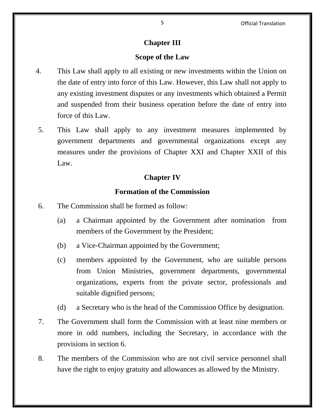# **Chapter III**

## **Scope of the Law**

- 4. This Law shall apply to all existing or new investments within the Union on the date of entry into force of this Law. However, this Law shall not apply to any existing investment disputes or any investments which obtained a Permit and suspended from their business operation before the date of entry into force of this Law.
- 5. This Law shall apply to any investment measures implemented by government departments and governmental organizations except any measures under the provisions of Chapter XXI and Chapter XXII of this Law.

## **Chapter IV**

#### **Formation of the Commission**

- 6. The Commission shall be formed as follow:
	- (a) a Chairman appointed by the Government after nomination from members of the Government by the President;
	- (b) a Vice-Chairman appointed by the Government;
	- (c) members appointed by the Government, who are suitable persons from Union Ministries, government departments, governmental organizations, experts from the private sector, professionals and suitable dignified persons;
	- (d) a Secretary who is the head of the Commission Office by designation.
- 7. The Government shall form the Commission with at least nine members or more in odd numbers, including the Secretary, in accordance with the provisions in section 6.
- 8. The members of the Commission who are not civil service personnel shall have the right to enjoy gratuity and allowances as allowed by the Ministry.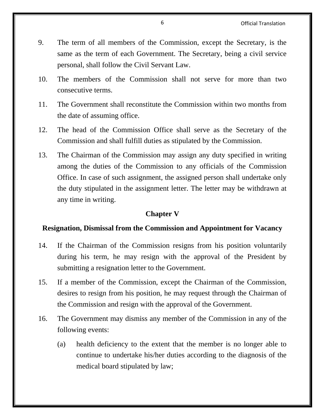- 9. The term of all members of the Commission, except the Secretary, is the same as the term of each Government. The Secretary, being a civil service personal, shall follow the Civil Servant Law.
- 10. The members of the Commission shall not serve for more than two consecutive terms.
- 11. The Government shall reconstitute the Commission within two months from the date of assuming office.
- 12. The head of the Commission Office shall serve as the Secretary of the Commission and shall fulfill duties as stipulated by the Commission.
- 13. The Chairman of the Commission may assign any duty specified in writing among the duties of the Commission to any officials of the Commission Office. In case of such assignment, the assigned person shall undertake only the duty stipulated in the assignment letter. The letter may be withdrawn at any time in writing.

## **Chapter V**

## **Resignation, Dismissal from the Commission and Appointment for Vacancy**

- 14. If the Chairman of the Commission resigns from his position voluntarily during his term, he may resign with the approval of the President by submitting a resignation letter to the Government.
- 15. If a member of the Commission, except the Chairman of the Commission, desires to resign from his position, he may request through the Chairman of the Commission and resign with the approval of the Government.
- 16. The Government may dismiss any member of the Commission in any of the following events:
	- (a) health deficiency to the extent that the member is no longer able to continue to undertake his/her duties according to the diagnosis of the medical board stipulated by law;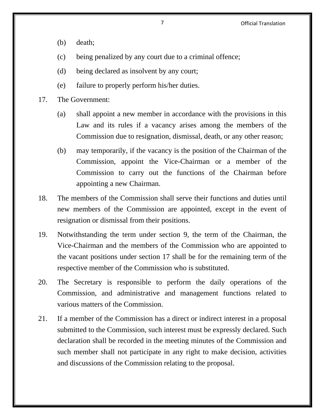- (b) death;
- (c) being penalized by any court due to a criminal offence;
- (d) being declared as insolvent by any court;
- (e) failure to properly perform his/her duties.
- 17. The Government:
	- (a) shall appoint a new member in accordance with the provisions in this Law and its rules if a vacancy arises among the members of the Commission due to resignation, dismissal, death, or any other reason;
	- (b) may temporarily, if the vacancy is the position of the Chairman of the Commission, appoint the Vice-Chairman or a member of the Commission to carry out the functions of the Chairman before appointing a new Chairman.
- 18. The members of the Commission shall serve their functions and duties until new members of the Commission are appointed, except in the event of resignation or dismissal from their positions.
- 19. Notwithstanding the term under section 9, the term of the Chairman, the Vice-Chairman and the members of the Commission who are appointed to the vacant positions under section 17 shall be for the remaining term of the respective member of the Commission who is substituted.
- 20. The Secretary is responsible to perform the daily operations of the Commission, and administrative and management functions related to various matters of the Commission.
- 21. If a member of the Commission has a direct or indirect interest in a proposal submitted to the Commission, such interest must be expressly declared. Such declaration shall be recorded in the meeting minutes of the Commission and such member shall not participate in any right to make decision, activities and discussions of the Commission relating to the proposal.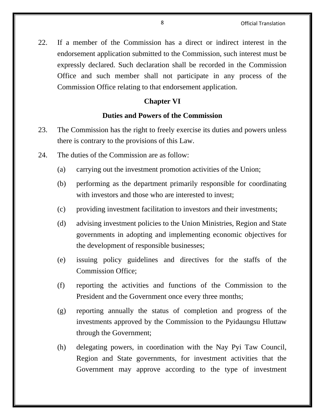22. If a member of the Commission has a direct or indirect interest in the endorsement application submitted to the Commission, such interest must be expressly declared. Such declaration shall be recorded in the Commission Office and such member shall not participate in any process of the Commission Office relating to that endorsement application.

# **Chapter VI**

## **Duties and Powers of the Commission**

- 23. The Commission has the right to freely exercise its duties and powers unless there is contrary to the provisions of this Law.
- 24. The duties of the Commission are as follow:
	- (a) carrying out the investment promotion activities of the Union;
	- (b) performing as the department primarily responsible for coordinating with investors and those who are interested to invest:
	- (c) providing investment facilitation to investors and their investments;
	- (d) advising investment policies to the Union Ministries, Region and State governments in adopting and implementing economic objectives for the development of responsible businesses;
	- (e) issuing policy guidelines and directives for the staffs of the Commission Office;
	- (f) reporting the activities and functions of the Commission to the President and the Government once every three months;
	- (g) reporting annually the status of completion and progress of the investments approved by the Commission to the Pyidaungsu Hluttaw through the Government;
	- (h) delegating powers, in coordination with the Nay Pyi Taw Council, Region and State governments, for investment activities that the Government may approve according to the type of investment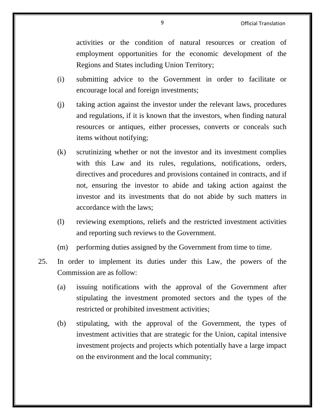activities or the condition of natural resources or creation of employment opportunities for the economic development of the Regions and States including Union Territory;

- (i) submitting advice to the Government in order to facilitate or encourage local and foreign investments;
- (j) taking action against the investor under the relevant laws, procedures and regulations, if it is known that the investors, when finding natural resources or antiques, either processes, converts or conceals such items without notifying;
- (k) scrutinizing whether or not the investor and its investment complies with this Law and its rules, regulations, notifications, orders, directives and procedures and provisions contained in contracts, and if not, ensuring the investor to abide and taking action against the investor and its investments that do not abide by such matters in accordance with the laws;
- (l) reviewing exemptions, reliefs and the restricted investment activities and reporting such reviews to the Government.
- (m) performing duties assigned by the Government from time to time.
- 25. In order to implement its duties under this Law, the powers of the Commission are as follow:
	- (a) issuing notifications with the approval of the Government after stipulating the investment promoted sectors and the types of the restricted or prohibited investment activities;
	- (b) stipulating, with the approval of the Government, the types of investment activities that are strategic for the Union, capital intensive investment projects and projects which potentially have a large impact on the environment and the local community;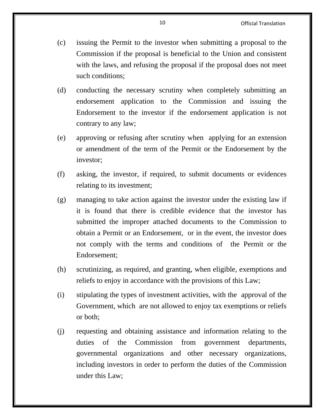- (c) issuing the Permit to the investor when submitting a proposal to the Commission if the proposal is beneficial to the Union and consistent with the laws, and refusing the proposal if the proposal does not meet such conditions;
- (d) conducting the necessary scrutiny when completely submitting an endorsement application to the Commission and issuing the Endorsement to the investor if the endorsement application is not contrary to any law;
- (e) approving or refusing after scrutiny when applying for an extension or amendment of the term of the Permit or the Endorsement by the investor;
- (f) asking, the investor, if required, to submit documents or evidences relating to its investment;
- (g) managing to take action against the investor under the existing law if it is found that there is credible evidence that the investor has submitted the improper attached documents to the Commission to obtain a Permit or an Endorsement, or in the event, the investor does not comply with the terms and conditions of the Permit or the Endorsement;
- (h) scrutinizing, as required, and granting, when eligible, exemptions and reliefs to enjoy in accordance with the provisions of this Law;
- (i) stipulating the types of investment activities, with the approval of the Government, which are not allowed to enjoy tax exemptions or reliefs or both;
- (j) requesting and obtaining assistance and information relating to the duties of the Commission from government departments, governmental organizations and other necessary organizations, including investors in order to perform the duties of the Commission under this Law;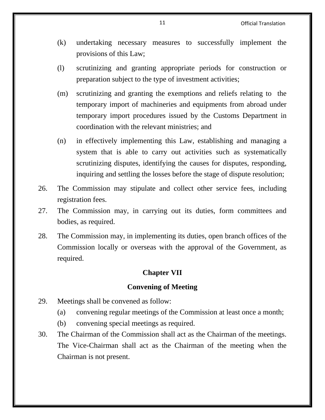- (k) undertaking necessary measures to successfully implement the provisions of this Law;
- (l) scrutinizing and granting appropriate periods for construction or preparation subject to the type of investment activities;
- (m) scrutinizing and granting the exemptions and reliefs relating to the temporary import of machineries and equipments from abroad under temporary import procedures issued by the Customs Department in coordination with the relevant ministries; and
- (n) in effectively implementing this Law, establishing and managing a system that is able to carry out activities such as systematically scrutinizing disputes, identifying the causes for disputes, responding, inquiring and settling the losses before the stage of dispute resolution;
- 26. The Commission may stipulate and collect other service fees, including registration fees.
- 27. The Commission may, in carrying out its duties, form committees and bodies, as required.
- 28. The Commission may, in implementing its duties, open branch offices of the Commission locally or overseas with the approval of the Government, as required.

## **Chapter VII**

#### **Convening of Meeting**

- 29. Meetings shall be convened as follow:
	- (a) convening regular meetings of the Commission at least once a month;
	- (b) convening special meetings as required.
- 30. The Chairman of the Commission shall act as the Chairman of the meetings. The Vice-Chairman shall act as the Chairman of the meeting when the Chairman is not present.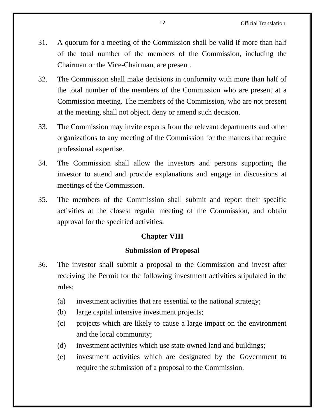- 31. A quorum for a meeting of the Commission shall be valid if more than half of the total number of the members of the Commission, including the Chairman or the Vice-Chairman, are present.
- 32. The Commission shall make decisions in conformity with more than half of the total number of the members of the Commission who are present at a Commission meeting. The members of the Commission, who are not present at the meeting, shall not object, deny or amend such decision.
- 33. The Commission may invite experts from the relevant departments and other organizations to any meeting of the Commission for the matters that require professional expertise.
- 34. The Commission shall allow the investors and persons supporting the investor to attend and provide explanations and engage in discussions at meetings of the Commission.
- 35. The members of the Commission shall submit and report their specific activities at the closest regular meeting of the Commission, and obtain approval for the specified activities.

# **Chapter VIII**

## **Submission of Proposal**

- 36. The investor shall submit a proposal to the Commission and invest after receiving the Permit for the following investment activities stipulated in the rules;
	- (a) investment activities that are essential to the national strategy;
	- (b) large capital intensive investment projects;
	- (c) projects which are likely to cause a large impact on the environment and the local community;
	- (d) investment activities which use state owned land and buildings;
	- (e) investment activities which are designated by the Government to require the submission of a proposal to the Commission.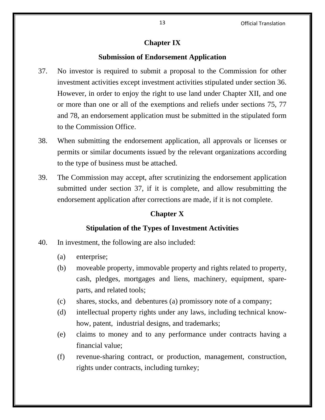13 Official Translation

# **Chapter IX**

## **Submission of Endorsement Application**

- 37. No investor is required to submit a proposal to the Commission for other investment activities except investment activities stipulated under section 36. However, in order to enjoy the right to use land under Chapter XII, and one or more than one or all of the exemptions and reliefs under sections 75, 77 and 78, an endorsement application must be submitted in the stipulated form to the Commission Office.
- 38. When submitting the endorsement application, all approvals or licenses or permits or similar documents issued by the relevant organizations according to the type of business must be attached.
- 39. The Commission may accept, after scrutinizing the endorsement application submitted under section 37, if it is complete, and allow resubmitting the endorsement application after corrections are made, if it is not complete.

# **Chapter X**

## **Stipulation of the Types of Investment Activities**

- 40. In investment, the following are also included:
	- (a) enterprise;
	- (b) moveable property, immovable property and rights related to property, cash, pledges, mortgages and liens, machinery, equipment, spareparts, and related tools;
	- (c) shares, stocks, and debentures (a) promissory note of a company;
	- (d) intellectual property rights under any laws, including technical knowhow, patent, industrial designs, and trademarks;
	- (e) claims to money and to any performance under contracts having a financial value;
	- (f) revenue-sharing contract, or production, management, construction, rights under contracts, including turnkey;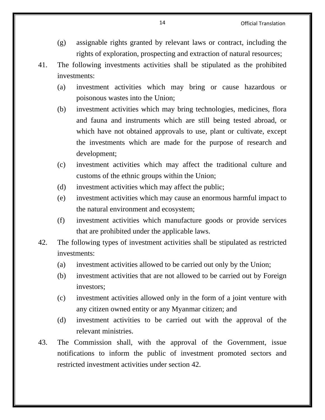14 Official Translation

- (g) assignable rights granted by relevant laws or contract, including the rights of exploration, prospecting and extraction of natural resources;
- 41. The following investments activities shall be stipulated as the prohibited investments:
	- (a) investment activities which may bring or cause hazardous or poisonous wastes into the Union;
	- (b) investment activities which may bring technologies, medicines, flora and fauna and instruments which are still being tested abroad, or which have not obtained approvals to use, plant or cultivate, except the investments which are made for the purpose of research and development;
	- (c) investment activities which may affect the traditional culture and customs of the ethnic groups within the Union;
	- (d) investment activities which may affect the public;
	- (e) investment activities which may cause an enormous harmful impact to the natural environment and ecosystem;
	- (f) investment activities which manufacture goods or provide services that are prohibited under the applicable laws.
- 42. The following types of investment activities shall be stipulated as restricted investments:
	- (a) investment activities allowed to be carried out only by the Union;
	- (b) investment activities that are not allowed to be carried out by Foreign investors;
	- (c) investment activities allowed only in the form of a joint venture with any citizen owned entity or any Myanmar citizen; and
	- (d) investment activities to be carried out with the approval of the relevant ministries.
- 43. The Commission shall, with the approval of the Government, issue notifications to inform the public of investment promoted sectors and restricted investment activities under section 42.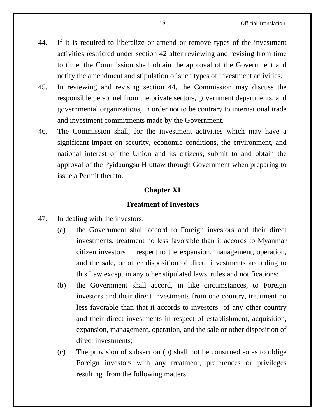- 44. If it is required to liberalize or amend or remove types of the investment activities restricted under section 42 after reviewing and revising from time to time, the Commission shall obtain the approval of the Government and notify the amendment and stipulation of such types of investment activities.
- 45. In reviewing and revising section 44, the Commission may discuss the responsible personnel from the private sectors, government departments, and governmental organizations, in order not to be contrary to international trade and investment commitments made by the Government.
- 46. The Commission shall, for the investment activities which may have a significant impact on security, economic conditions, the environment, and national interest of the Union and its citizens, submit to and obtain the approval of the Pyidaungsu Hluttaw through Government when preparing to issue a Permit thereto.

## **Chapter XI**

## **Treatment of Investors**

- 47. In dealing with the investors:
	- (a) the Government shall accord to Foreign investors and their direct investments, treatment no less favorable than it accords to Myanmar citizen investors in respect to the expansion, management, operation, and the sale, or other disposition of direct investments according to this Law except in any other stipulated laws, rules and notifications;
	- (b) the Government shall accord, in like circumstances, to Foreign investors and their direct investments from one country, treatment no less favorable than that it accords to investors of any other country and their direct investments in respect of establishment, acquisition, expansion, management, operation, and the sale or other disposition of direct investments;
	- (c) The provision of subsection (b) shall not be construed so as to oblige Foreign investors with any treatment, preferences or privileges resulting from the following matters: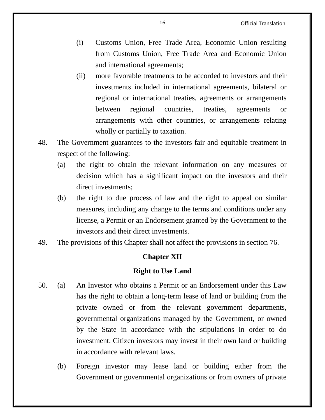- (i) Customs Union, Free Trade Area, Economic Union resulting from Customs Union, Free Trade Area and Economic Union and international agreements;
- (ii) more favorable treatments to be accorded to investors and their investments included in international agreements, bilateral or regional or international treaties, agreements or arrangements between regional countries, treaties, agreements or arrangements with other countries, or arrangements relating wholly or partially to taxation.
- 48. The Government guarantees to the investors fair and equitable treatment in respect of the following:
	- (a) the right to obtain the relevant information on any measures or decision which has a significant impact on the investors and their direct investments;
	- (b) the right to due process of law and the right to appeal on similar measures, including any change to the terms and conditions under any license, a Permit or an Endorsement granted by the Government to the investors and their direct investments.
- 49. The provisions of this Chapter shall not affect the provisions in section 76.

## **Chapter XII**

## **Right to Use Land**

- 50. (a) An Investor who obtains a Permit or an Endorsement under this Law has the right to obtain a long-term lease of land or building from the private owned or from the relevant government departments, governmental organizations managed by the Government, or owned by the State in accordance with the stipulations in order to do investment. Citizen investors may invest in their own land or building in accordance with relevant laws.
	- (b) Foreign investor may lease land or building either from the Government or governmental organizations or from owners of private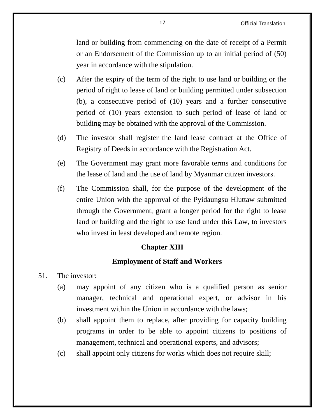land or building from commencing on the date of receipt of a Permit or an Endorsement of the Commission up to an initial period of (50) year in accordance with the stipulation.

- (c) After the expiry of the term of the right to use land or building or the period of right to lease of land or building permitted under subsection (b), a consecutive period of (10) years and a further consecutive period of (10) years extension to such period of lease of land or building may be obtained with the approval of the Commission.
- (d) The investor shall register the land lease contract at the Office of Registry of Deeds in accordance with the Registration Act.
- (e) The Government may grant more favorable terms and conditions for the lease of land and the use of land by Myanmar citizen investors.
- (f) The Commission shall, for the purpose of the development of the entire Union with the approval of the Pyidaungsu Hluttaw submitted through the Government, grant a longer period for the right to lease land or building and the right to use land under this Law, to investors who invest in least developed and remote region.

## **Chapter XIII**

## **Employment of Staff and Workers**

- 51. The investor:
	- (a) may appoint of any citizen who is a qualified person as senior manager, technical and operational expert, or advisor in his investment within the Union in accordance with the laws;
	- (b) shall appoint them to replace, after providing for capacity building programs in order to be able to appoint citizens to positions of management, technical and operational experts, and advisors;
	- (c) shall appoint only citizens for works which does not require skill;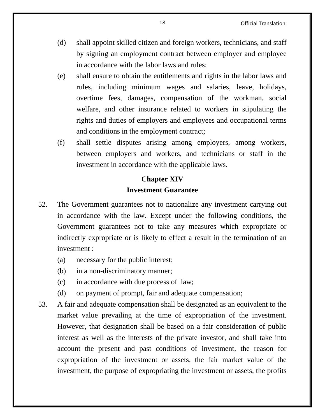- (d) shall appoint skilled citizen and foreign workers, technicians, and staff by signing an employment contract between employer and employee in accordance with the labor laws and rules;
- (e) shall ensure to obtain the entitlements and rights in the labor laws and rules, including minimum wages and salaries, leave, holidays, overtime fees, damages, compensation of the workman, social welfare, and other insurance related to workers in stipulating the rights and duties of employers and employees and occupational terms and conditions in the employment contract;
- (f) shall settle disputes arising among employers, among workers, between employers and workers, and technicians or staff in the investment in accordance with the applicable laws.

# **Chapter XIV Investment Guarantee**

- 52. The Government guarantees not to nationalize any investment carrying out in accordance with the law. Except under the following conditions, the Government guarantees not to take any measures which expropriate or indirectly expropriate or is likely to effect a result in the termination of an investment :
	- (a) necessary for the public interest;
	- (b) in a non-discriminatory manner;
	- (c) in accordance with due process of law;
	- (d) on payment of prompt, fair and adequate compensation;
- 53. A fair and adequate compensation shall be designated as an equivalent to the market value prevailing at the time of expropriation of the investment. However, that designation shall be based on a fair consideration of public interest as well as the interests of the private investor, and shall take into account the present and past conditions of investment, the reason for expropriation of the investment or assets, the fair market value of the investment, the purpose of expropriating the investment or assets, the profits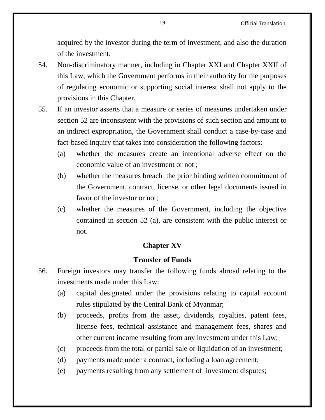acquired by the investor during the term of investment, and also the duration of the investment.

- 54. Non-discriminatory manner, including in Chapter XXI and Chapter XXII of this Law, which the Government performs in their authority for the purposes of regulating economic or supporting social interest shall not apply to the provisions in this Chapter.
- 55. If an investor asserts that a measure or series of measures undertaken under section 52 are inconsistent with the provisions of such section and amount to an indirect expropriation, the Government shall conduct a case-by-case and fact-based inquiry that takes into consideration the following factors:
	- (a) whether the measures create an intentional adverse effect on the economic value of an investment or not ;
	- (b) whether the measures breach the prior binding written commitment of the Government, contract, license, or other legal documents issued in favor of the investor or not;
	- (c) whether the measures of the Government, including the objective contained in section 52 (a), are consistent with the public interest or not.

# **Chapter XV**

#### **Transfer of Funds**

- 56. Foreign investors may transfer the following funds abroad relating to the investments made under this Law:
	- (a) capital designated under the provisions relating to capital account rules stipulated by the Central Bank of Myanmar;
	- (b) proceeds, profits from the asset, dividends, royalties, patent fees, license fees, technical assistance and management fees, shares and other current income resulting from any investment under this Law;
	- (c) proceeds from the total or partial sale or liquidation of an investment;
	- (d) payments made under a contract, including a loan agreement;
	- (e) payments resulting from any settlement of investment disputes;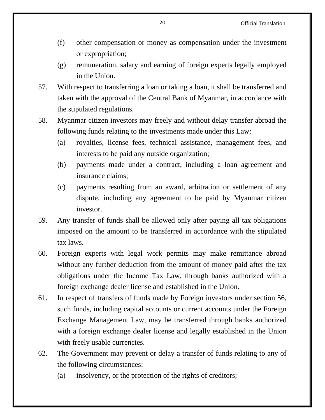- (f) other compensation or money as compensation under the investment or expropriation;
- (g) remuneration, salary and earning of foreign experts legally employed in the Union.
- 57. With respect to transferring a loan or taking a loan, it shall be transferred and taken with the approval of the Central Bank of Myanmar, in accordance with the stipulated regulations.
- 58. Myanmar citizen investors may freely and without delay transfer abroad the following funds relating to the investments made under this Law:
	- (a) royalties, license fees, technical assistance, management fees, and interests to be paid any outside organization;
	- (b) payments made under a contract, including a loan agreement and insurance claims;
	- (c) payments resulting from an award, arbitration or settlement of any dispute, including any agreement to be paid by Myanmar citizen investor.
- 59. Any transfer of funds shall be allowed only after paying all tax obligations imposed on the amount to be transferred in accordance with the stipulated tax laws.
- 60. Foreign experts with legal work permits may make remittance abroad without any further deduction from the amount of money paid after the tax obligations under the Income Tax Law, through banks authorized with a foreign exchange dealer license and established in the Union.
- 61. In respect of transfers of funds made by Foreign investors under section 56, such funds, including capital accounts or current accounts under the Foreign Exchange Management Law, may be transferred through banks authorized with a foreign exchange dealer license and legally established in the Union with freely usable currencies.
- 62. The Government may prevent or delay a transfer of funds relating to any of the following circumstances:
	- (a) insolvency, or the protection of the rights of creditors;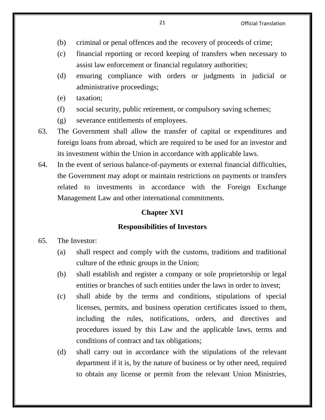- (b) criminal or penal offences and the recovery of proceeds of crime;
- (c) financial reporting or record keeping of transfers when necessary to assist law enforcement or financial regulatory authorities;
- (d) ensuring compliance with orders or judgments in judicial or administrative proceedings;
- (e) taxation;
- (f) social security, public retirement, or compulsory saving schemes;
- (g) severance entitlements of employees.
- 63. The Government shall allow the transfer of capital or expenditures and foreign loans from abroad, which are required to be used for an investor and its investment within the Union in accordance with applicable laws.
- 64. In the event of serious balance-of-payments or external financial difficulties, the Government may adopt or maintain restrictions on payments or transfers related to investments in accordance with the Foreign Exchange Management Law and other international commitments.

## **Chapter XVI**

#### **Responsibilities of Investors**

- 65. The Investor:
	- (a) shall respect and comply with the customs, traditions and traditional culture of the ethnic groups in the Union;
	- (b) shall establish and register a company or sole proprietorship or legal entities or branches of such entities under the laws in order to invest;
	- (c) shall abide by the terms and conditions, stipulations of special licenses, permits, and business operation certificates issued to them, including the rules, notifications, orders, and directives and procedures issued by this Law and the applicable laws, terms and conditions of contract and tax obligations;
	- (d) shall carry out in accordance with the stipulations of the relevant department if it is, by the nature of business or by other need, required to obtain any license or permit from the relevant Union Ministries,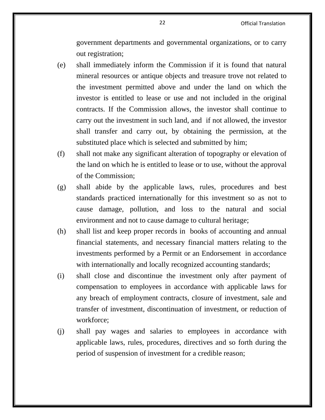government departments and governmental organizations, or to carry out registration;

- (e) shall immediately inform the Commission if it is found that natural mineral resources or antique objects and treasure trove not related to the investment permitted above and under the land on which the investor is entitled to lease or use and not included in the original contracts. If the Commission allows, the investor shall continue to carry out the investment in such land, and if not allowed, the investor shall transfer and carry out, by obtaining the permission, at the substituted place which is selected and submitted by him;
- (f) shall not make any significant alteration of topography or elevation of the land on which he is entitled to lease or to use, without the approval of the Commission;
- (g) shall abide by the applicable laws, rules, procedures and best standards practiced internationally for this investment so as not to cause damage, pollution, and loss to the natural and social environment and not to cause damage to cultural heritage;
- (h) shall list and keep proper records in books of accounting and annual financial statements, and necessary financial matters relating to the investments performed by a Permit or an Endorsement in accordance with internationally and locally recognized accounting standards;
- (i) shall close and discontinue the investment only after payment of compensation to employees in accordance with applicable laws for any breach of employment contracts, closure of investment, sale and transfer of investment, discontinuation of investment, or reduction of workforce;
- (j) shall pay wages and salaries to employees in accordance with applicable laws, rules, procedures, directives and so forth during the period of suspension of investment for a credible reason;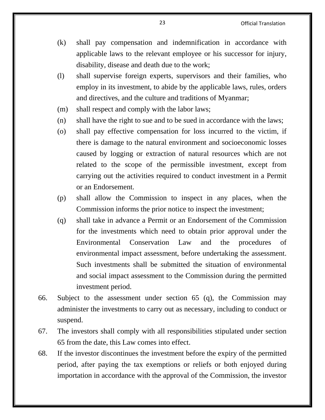- (k) shall pay compensation and indemnification in accordance with applicable laws to the relevant employee or his successor for injury, disability, disease and death due to the work;
- (l) shall supervise foreign experts, supervisors and their families, who employ in its investment, to abide by the applicable laws, rules, orders and directives, and the culture and traditions of Myanmar;
- (m) shall respect and comply with the labor laws;
- (n) shall have the right to sue and to be sued in accordance with the laws;
- (o) shall pay effective compensation for loss incurred to the victim, if there is damage to the natural environment and socioeconomic losses caused by logging or extraction of natural resources which are not related to the scope of the permissible investment, except from carrying out the activities required to conduct investment in a Permit or an Endorsement.
- (p) shall allow the Commission to inspect in any places, when the Commission informs the prior notice to inspect the investment;
- (q) shall take in advance a Permit or an Endorsement of the Commission for the investments which need to obtain prior approval under the Environmental Conservation Law and the procedures of environmental impact assessment, before undertaking the assessment. Such investments shall be submitted the situation of environmental and social impact assessment to the Commission during the permitted investment period.
- 66. Subject to the assessment under section 65 (q), the Commission may administer the investments to carry out as necessary, including to conduct or suspend.
- 67. The investors shall comply with all responsibilities stipulated under section 65 from the date, this Law comes into effect.
- 68. If the investor discontinues the investment before the expiry of the permitted period, after paying the tax exemptions or reliefs or both enjoyed during importation in accordance with the approval of the Commission, the investor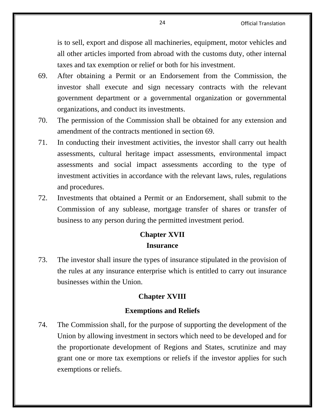is to sell, export and dispose all machineries, equipment, motor vehicles and all other articles imported from abroad with the customs duty, other internal taxes and tax exemption or relief or both for his investment.

- 69. After obtaining a Permit or an Endorsement from the Commission, the investor shall execute and sign necessary contracts with the relevant government department or a governmental organization or governmental organizations, and conduct its investments.
- 70. The permission of the Commission shall be obtained for any extension and amendment of the contracts mentioned in section 69.
- 71. In conducting their investment activities, the investor shall carry out health assessments, cultural heritage impact assessments, environmental impact assessments and social impact assessments according to the type of investment activities in accordance with the relevant laws, rules, regulations and procedures.
- 72. Investments that obtained a Permit or an Endorsement, shall submit to the Commission of any sublease, mortgage transfer of shares or transfer of business to any person during the permitted investment period.

# **Chapter XVII**

## **Insurance**

73. The investor shall insure the types of insurance stipulated in the provision of the rules at any insurance enterprise which is entitled to carry out insurance businesses within the Union.

# **Chapter XVIII**

## **Exemptions and Reliefs**

74. The Commission shall, for the purpose of supporting the development of the Union by allowing investment in sectors which need to be developed and for the proportionate development of Regions and States, scrutinize and may grant one or more tax exemptions or reliefs if the investor applies for such exemptions or reliefs.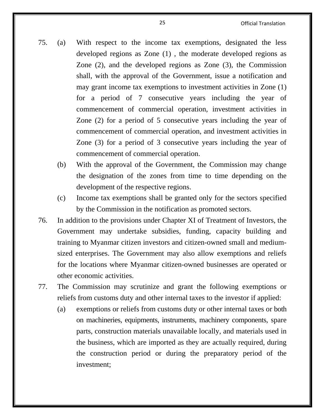- 75. (a) With respect to the income tax exemptions, designated the less developed regions as Zone (1) , the moderate developed regions as Zone (2), and the developed regions as Zone (3), the Commission shall, with the approval of the Government, issue a notification and may grant income tax exemptions to investment activities in Zone (1) for a period of 7 consecutive years including the year of commencement of commercial operation, investment activities in Zone (2) for a period of 5 consecutive years including the year of commencement of commercial operation, and investment activities in Zone (3) for a period of 3 consecutive years including the year of commencement of commercial operation.
	- (b) With the approval of the Government, the Commission may change the designation of the zones from time to time depending on the development of the respective regions.
	- (c) Income tax exemptions shall be granted only for the sectors specified by the Commission in the notification as promoted sectors.
- 76. In addition to the provisions under Chapter XI of Treatment of Investors, the Government may undertake subsidies, funding, capacity building and training to Myanmar citizen investors and citizen-owned small and mediumsized enterprises. The Government may also allow exemptions and reliefs for the locations where Myanmar citizen-owned businesses are operated or other economic activities.
- 77. The Commission may scrutinize and grant the following exemptions or reliefs from customs duty and other internal taxes to the investor if applied:
	- (a) exemptions or reliefs from customs duty or other internal taxes or both on machineries, equipments, instruments, machinery components, spare parts, construction materials unavailable locally, and materials used in the business, which are imported as they are actually required, during the construction period or during the preparatory period of the investment;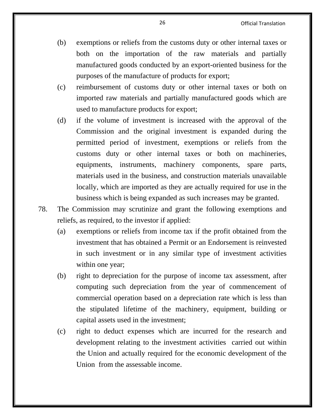- (b) exemptions or reliefs from the customs duty or other internal taxes or both on the importation of the raw materials and partially manufactured goods conducted by an export-oriented business for the purposes of the manufacture of products for export;
- (c) reimbursement of customs duty or other internal taxes or both on imported raw materials and partially manufactured goods which are used to manufacture products for export;
- (d) if the volume of investment is increased with the approval of the Commission and the original investment is expanded during the permitted period of investment, exemptions or reliefs from the customs duty or other internal taxes or both on machineries, equipments, instruments, machinery components, spare parts, materials used in the business, and construction materials unavailable locally, which are imported as they are actually required for use in the business which is being expanded as such increases may be granted.
- 78. The Commission may scrutinize and grant the following exemptions and reliefs, as required, to the investor if applied:
	- (a) exemptions or reliefs from income tax if the profit obtained from the investment that has obtained a Permit or an Endorsement is reinvested in such investment or in any similar type of investment activities within one year;
	- (b) right to depreciation for the purpose of income tax assessment, after computing such depreciation from the year of commencement of commercial operation based on a depreciation rate which is less than the stipulated lifetime of the machinery, equipment, building or capital assets used in the investment;
	- (c) right to deduct expenses which are incurred for the research and development relating to the investment activities carried out within the Union and actually required for the economic development of the Union from the assessable income.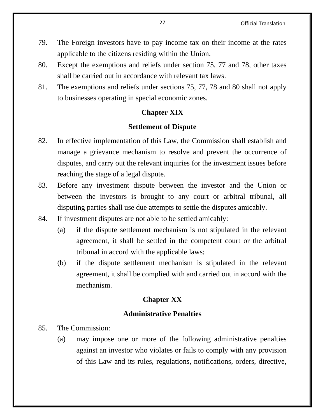- 79. The Foreign investors have to pay income tax on their income at the rates applicable to the citizens residing within the Union.
- 80. Except the exemptions and reliefs under section 75, 77 and 78, other taxes shall be carried out in accordance with relevant tax laws.
- 81. The exemptions and reliefs under sections 75, 77, 78 and 80 shall not apply to businesses operating in special economic zones.

## **Chapter XIX**

## **Settlement of Dispute**

- 82. In effective implementation of this Law, the Commission shall establish and manage a grievance mechanism to resolve and prevent the occurrence of disputes, and carry out the relevant inquiries for the investment issues before reaching the stage of a legal dispute.
- 83. Before any investment dispute between the investor and the Union or between the investors is brought to any court or arbitral tribunal, all disputing parties shall use due attempts to settle the disputes amicably.
- 84. If investment disputes are not able to be settled amicably:
	- (a) if the dispute settlement mechanism is not stipulated in the relevant agreement, it shall be settled in the competent court or the arbitral tribunal in accord with the applicable laws;
	- (b) if the dispute settlement mechanism is stipulated in the relevant agreement, it shall be complied with and carried out in accord with the mechanism.

# **Chapter XX**

## **Administrative Penalties**

- 85. The Commission:
	- (a) may impose one or more of the following administrative penalties against an investor who violates or fails to comply with any provision of this Law and its rules, regulations, notifications, orders, directive,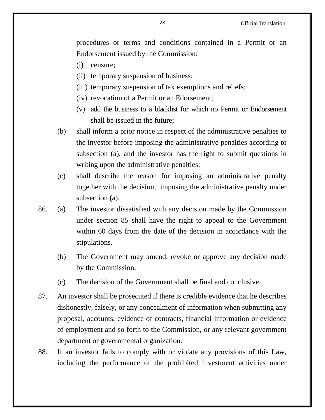procedures or terms and conditions contained in a Permit or an Endorsement issued by the Commission:

- (i) censure;
- (ii) temporary suspension of business;
- (iii) temporary suspension of tax exemptions and reliefs;
- (iv) revocation of a Permit or an Edorsement;
- (v) add the business to a blacklist for which no Permit or Endorsement shall be issued in the future;
- (b) shall inform a prior notice in respect of the administrative penalties to the investor before imposing the administrative penalties according to subsection (a), and the investor has the right to submit questions in writing upon the administrative penalties;
- (c) shall describe the reason for imposing an administrative penalty together with the decision, imposing the administrative penalty under subsection (a).
- 86. (a) The investor dissatisfied with any decision made by the Commission under section 85 shall have the right to appeal to the Government within 60 days from the date of the decision in accordance with the stipulations.
	- (b) The Government may amend, revoke or approve any decision made by the Commission.
	- (c) The decision of the Government shall be final and conclusive.
- 87. An investor shall be prosecuted if there is credible evidence that he describes dishonestly, falsely, or any concealment of information when submitting any proposal, accounts, evidence of contracts, financial information or evidence of employment and so forth to the Commission, or any relevant government department or governmental organization.
- 88. If an investor fails to comply with or violate any provisions of this Law, including the performance of the prohibited investment activities under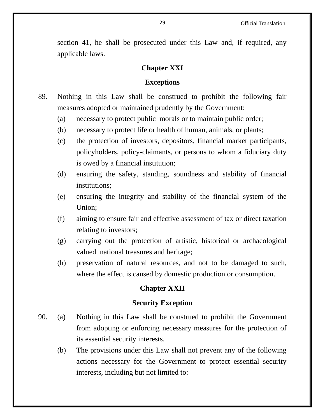section 41, he shall be prosecuted under this Law and, if required, any applicable laws.

## **Chapter XXI**

#### **Exceptions**

- 89. Nothing in this Law shall be construed to prohibit the following fair measures adopted or maintained prudently by the Government:
	- (a) necessary to protect public morals or to maintain public order;
	- (b) necessary to protect life or health of human, animals, or plants;
	- (c) the protection of investors, depositors, financial market participants, policyholders, policy-claimants, or persons to whom a fiduciary duty is owed by a financial institution;
	- (d) ensuring the safety, standing, soundness and stability of financial institutions;
	- (e) ensuring the integrity and stability of the financial system of the Union;
	- (f) aiming to ensure fair and effective assessment of tax or direct taxation relating to investors;
	- (g) carrying out the protection of artistic, historical or archaeological valued national treasures and heritage;
	- (h) preservation of natural resources, and not to be damaged to such, where the effect is caused by domestic production or consumption.

#### **Chapter XXII**

#### **Security Exception**

- 90. (a) Nothing in this Law shall be construed to prohibit the Government from adopting or enforcing necessary measures for the protection of its essential security interests.
	- (b) The provisions under this Law shall not prevent any of the following actions necessary for the Government to protect essential security interests, including but not limited to: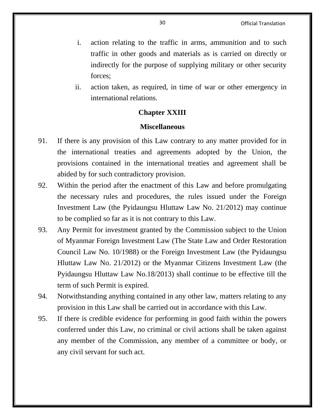- i. action relating to the traffic in arms, ammunition and to such traffic in other goods and materials as is carried on directly or indirectly for the purpose of supplying military or other security forces;
- ii. action taken, as required, in time of war or other emergency in international relations.

# **Chapter XXIII**

#### **Miscellaneous**

- 91. If there is any provision of this Law contrary to any matter provided for in the international treaties and agreements adopted by the Union, the provisions contained in the international treaties and agreement shall be abided by for such contradictory provision.
- 92. Within the period after the enactment of this Law and before promulgating the necessary rules and procedures, the rules issued under the Foreign Investment Law (the Pyidaungsu Hluttaw Law No. 21/2012) may continue to be complied so far as it is not contrary to this Law.
- 93. Any Permit for investment granted by the Commission subject to the Union of Myanmar Foreign Investment Law (The State Law and Order Restoration Council Law No. 10/1988) or the Foreign Investment Law (the Pyidaungsu Hluttaw Law No. 21/2012) or the Myanmar Citizens Investment Law (the Pyidaungsu Hluttaw Law No.18/2013) shall continue to be effective till the term of such Permit is expired.
- 94. Notwithstanding anything contained in any other law, matters relating to any provision in this Law shall be carried out in accordance with this Law.
- 95. If there is credible evidence for performing in good faith within the powers conferred under this Law, no criminal or civil actions shall be taken against any member of the Commission, any member of a committee or body, or any civil servant for such act.